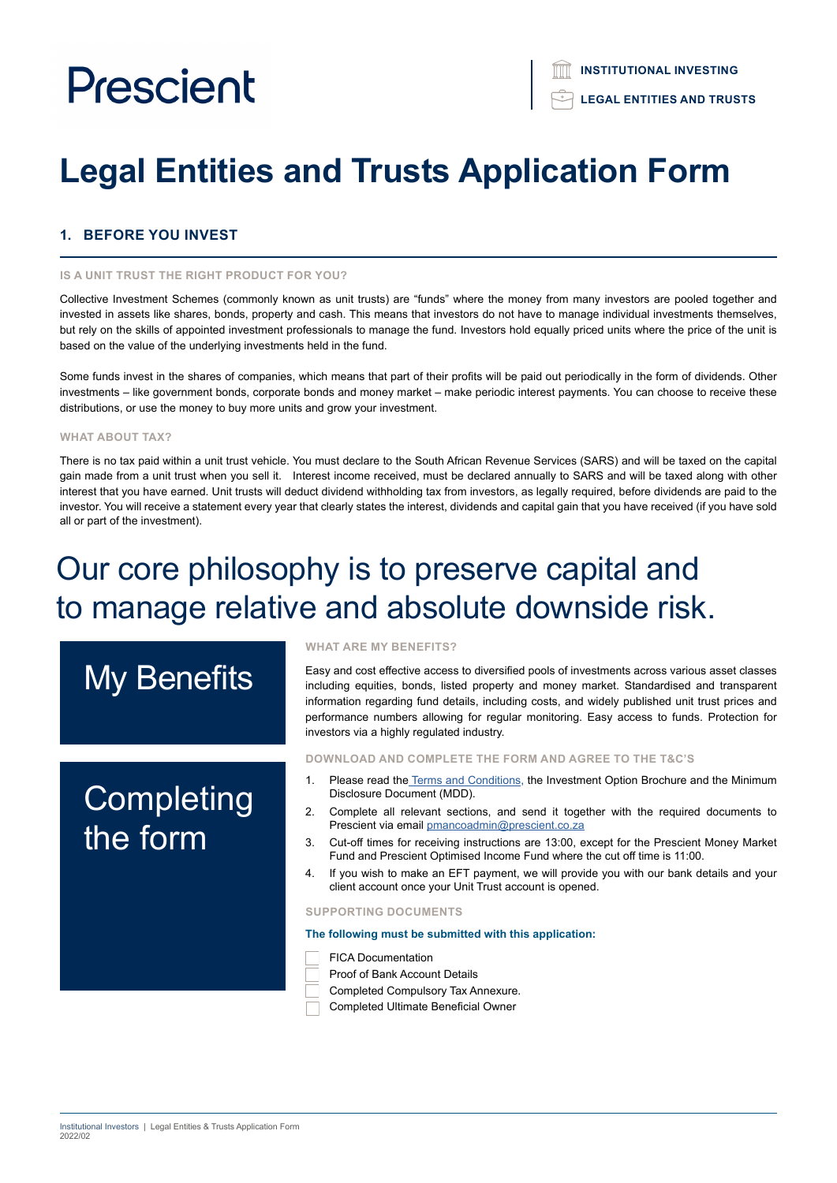# **Legal Entities and Trusts Application Form**

# **1. BEFORE YOU INVEST**

#### **IS A UNIT TRUST THE RIGHT PRODUCT FOR YOU?**

Collective Investment Schemes (commonly known as unit trusts) are "funds" where the money from many investors are pooled together and invested in assets like shares, bonds, property and cash. This means that investors do not have to manage individual investments themselves, but rely on the skills of appointed investment professionals to manage the fund. Investors hold equally priced units where the price of the unit is based on the value of the underlying investments held in the fund.

Some funds invest in the shares of companies, which means that part of their profits will be paid out periodically in the form of dividends. Other investments – like government bonds, corporate bonds and money market – make periodic interest payments. You can choose to receive these distributions, or use the money to buy more units and grow your investment.

### **WHAT ABOUT TAX?**

There is no tax paid within a unit trust vehicle. You must declare to the South African Revenue Services (SARS) and will be taxed on the capital gain made from a unit trust when you sell it. Interest income received, must be declared annually to SARS and will be taxed along with other interest that you have earned. Unit trusts will deduct dividend withholding tax from investors, as legally required, before dividends are paid to the investor. You will receive a statement every year that clearly states the interest, dividends and capital gain that you have received (if you have sold all or part of the investment).

# Our core philosophy is to preserve capital and to manage relative and absolute downside risk.

# My Benefits

# **Completing** the form

#### **WHAT ARE MY BENEFITS?**

Easy and cost effective access to diversified pools of investments across various asset classes including equities, bonds, listed property and money market. Standardised and transparent information regarding fund details, including costs, and widely published unit trust prices and performance numbers allowing for regular monitoring. Easy access to funds. Protection for investors via a highly regulated industry.

#### **DOWNLOAD AND COMPLETE THE FORM AND AGREE TO THE T&C'S**

- 1. Please read the [Terms and Conditions,](https://www.prescient.co.za/media/nryjvycp/2021-terms-conditions.pdf) the Investment Option Brochure and the Minimum Disclosure Document (MDD).
- 2. Complete all relevant sections, and send it together with the required documents to Prescient via email [pmancoadmin@prescient.co.za](mailto:pmancoadmin%40prescient.co.za?subject=Prescient%20-%20Legal%20Entities%20and%20Trusts%20Application%20Form)
- 3. Cut-off times for receiving instructions are 13:00, except for the Prescient Money Market Fund and Prescient Optimised Income Fund where the cut off time is 11:00.
- 4. If you wish to make an EFT payment, we will provide you with our bank details and your client account once your Unit Trust account is opened.

#### **SUPPORTING DOCUMENTS**

#### **The following must be submitted with this application:**

- FICA Documentation
- Proof of Bank Account Details
- Completed Compulsory Tax Annexure.
- Completed Ultimate Beneficial Owner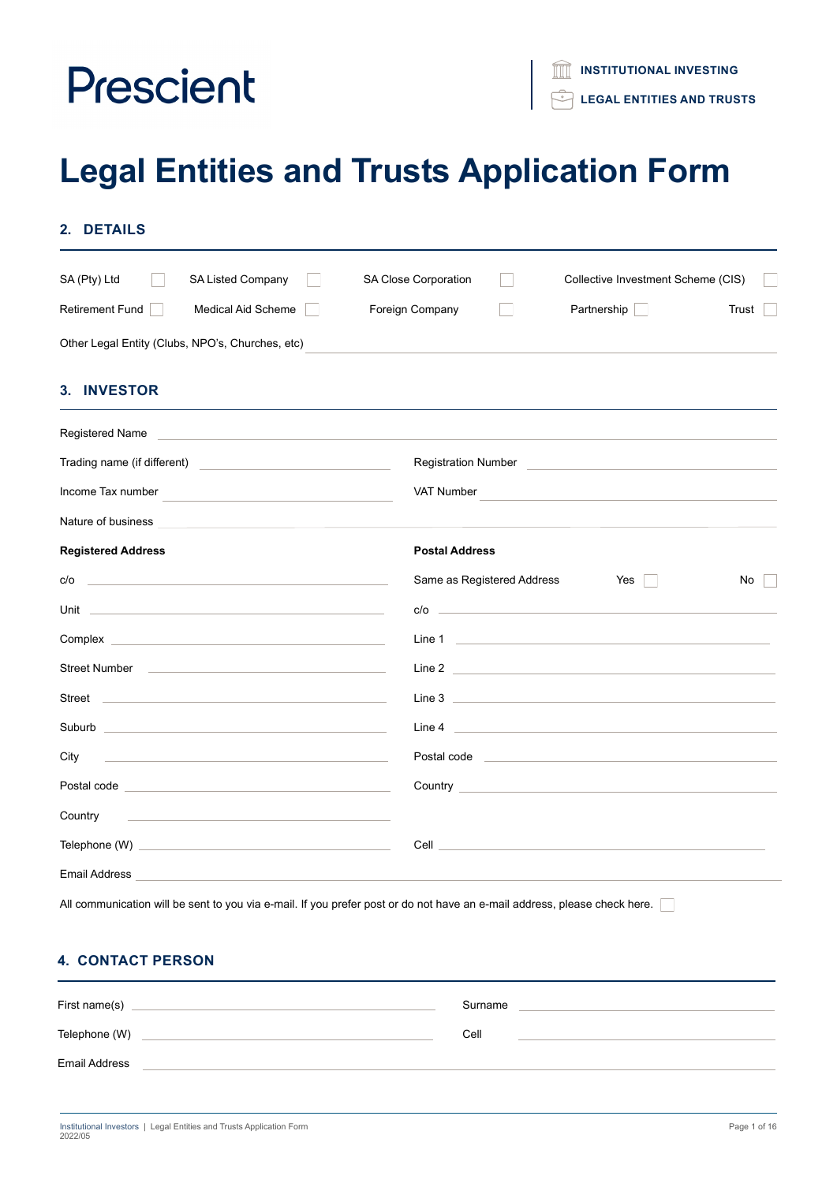# **Legal Entities and Trusts Application Form**

| SA (Pty) Ltd<br>SA Listed Company                                                                                                                                                                                                    | SA Close Corporation<br>Collective Investment Scheme (CIS)                                                                                                                                                                           |       |
|--------------------------------------------------------------------------------------------------------------------------------------------------------------------------------------------------------------------------------------|--------------------------------------------------------------------------------------------------------------------------------------------------------------------------------------------------------------------------------------|-------|
| Retirement Fund    <br>Medical Aid Scheme                                                                                                                                                                                            | Foreign Company<br>Partnership                                                                                                                                                                                                       | Trust |
| Other Legal Entity (Clubs, NPO's, Churches, etc)                                                                                                                                                                                     |                                                                                                                                                                                                                                      |       |
| <b>3. INVESTOR</b>                                                                                                                                                                                                                   |                                                                                                                                                                                                                                      |       |
| Registered Name                                                                                                                                                                                                                      |                                                                                                                                                                                                                                      |       |
|                                                                                                                                                                                                                                      |                                                                                                                                                                                                                                      |       |
| Income Tax number <b>All Accords</b> 2014 12:00 12:00 12:00 12:00 12:00 12:00 12:00 12:00 12:00 12:00 12:00 12:00 12:00 12:00 12:00 12:00 12:00 12:00 12:00 12:00 12:00 12:00 12:00 12:00 12:00 12:00 12:00 12:00 12:00 12:00 12:00  | VAT Number                                                                                                                                                                                                                           |       |
| Nature of business <b>contract to the contract of business</b>                                                                                                                                                                       |                                                                                                                                                                                                                                      |       |
| <b>Registered Address</b>                                                                                                                                                                                                            | <b>Postal Address</b>                                                                                                                                                                                                                |       |
| c/o                                                                                                                                                                                                                                  | Same as Registered Address<br>Yes                                                                                                                                                                                                    | No    |
|                                                                                                                                                                                                                                      | $c/o$ $\qquad \qquad$                                                                                                                                                                                                                |       |
| <b>Complex Complex</b>                                                                                                                                                                                                               |                                                                                                                                                                                                                                      |       |
|                                                                                                                                                                                                                                      | Line 2 <u>and the same of the same of the same of the same of the same of the same of the same of the same of the same of the same of the same of the same of the same of the same of the same of the same of the same of the sa</u> |       |
| Street <u>and the street of the street and the street and the street and the street and the street and the street</u>                                                                                                                | Line 3 <u>New York Contract Contract Contract Contract Contract Contract Contract Contract Contract Contract Contract Contract Contract Contract Contract Contract Contract Contract Contract Contract Contract Contract Contrac</u> |       |
|                                                                                                                                                                                                                                      | Line 4 <u>and 2000 and 2000 and 2000 and 2000 and 2000 and 2000 and 2000 and 2000 and 2000 and 2000 and 2000 and 2000 and 2000 and 2000 and 2000 and 2000 and 2000 and 2000 and 2000 and 2000 and 2000 and 2000 and 2000 and 200</u> |       |
| City<br><u> 1999 - Johann Barn, amerikansk politiker (</u>                                                                                                                                                                           | Postal code <u>and a series of the series of the series of the series of the series of the series of the series of the series of the series of the series of the series of the series of the series of the series of the series </u> |       |
| Postal code <u>experience</u> and the contract of the contract of the contract of the contract of the contract of the                                                                                                                |                                                                                                                                                                                                                                      |       |
| Country<br><u> 1999 - Johann John Stein, markin fan it ferstjer fan de ferstjer fan it ferstjer fan it ferstjer fan it fers</u>                                                                                                      |                                                                                                                                                                                                                                      |       |
|                                                                                                                                                                                                                                      | <b>Cell</b> Communication of the communication of the communication of the communication of the communication of the communication of the communication of the communication of the communication of the communication of the commu  |       |
| Email Address <b>Executive Service Service Service Service Service Service Service Service Service Service Service Service Service Service Service Service Service Service Service Service Service Service Service Service Servi</b> |                                                                                                                                                                                                                                      |       |

# **4. CONTACT PERSON**

| First name(s)        | Surname |
|----------------------|---------|
| Telephone (W)        | Cell    |
| <b>Email Address</b> |         |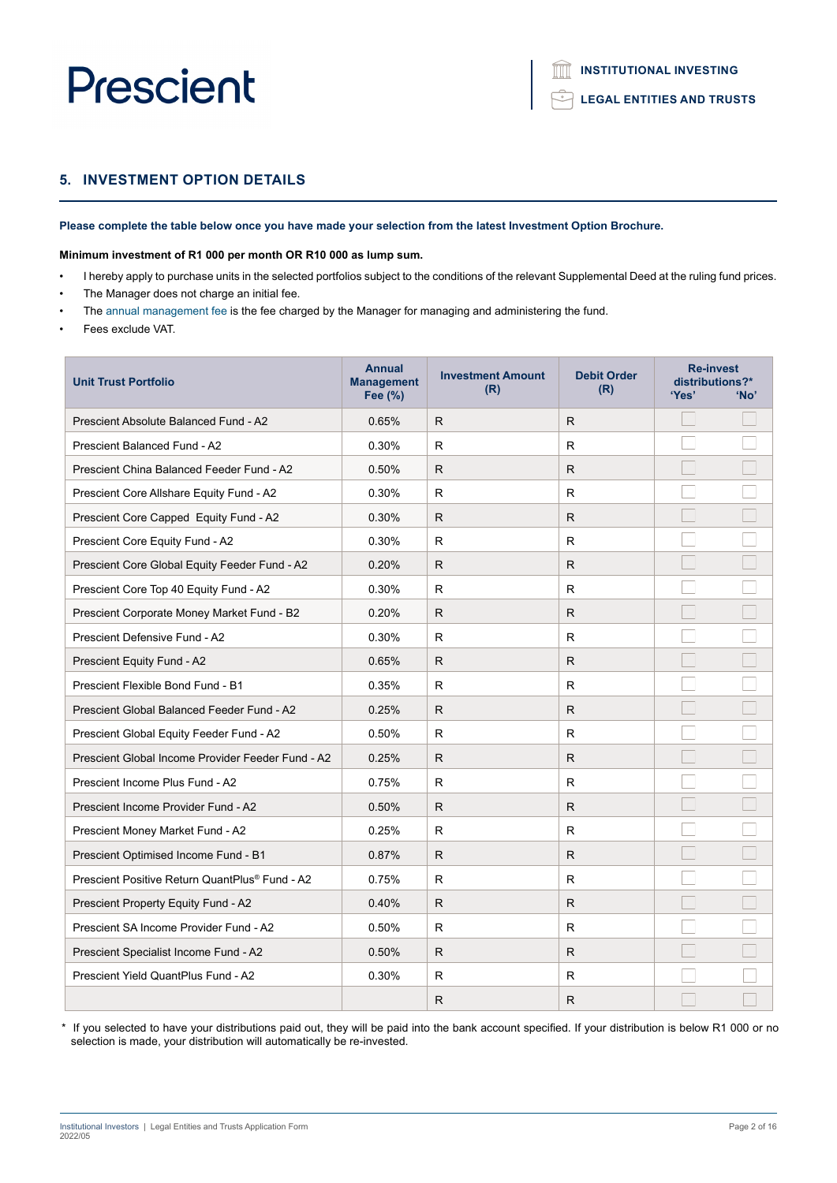## **5. INVESTMENT OPTION DETAILS**

### **Please complete the table below once you have made your selection from the latest Investment Option Brochure.**

#### **Minimum investment of R1 000 per month OR R10 000 as lump sum.**

- I hereby apply to purchase units in the selected portfolios subject to the conditions of the relevant Supplemental Deed at the ruling fund prices.
- The Manager does not charge an initial fee.
- The annual management fee is the fee charged by the Manager for managing and administering the fund.
- Fees exclude VAT.

| <b>Unit Trust Portfolio</b>                                | <b>Annual</b><br><b>Management</b><br>Fee (%) | <b>Investment Amount</b><br>(R) | <b>Debit Order</b><br>(R) | <b>Re-invest</b><br>distributions?*<br>'Yes' | 'No' |
|------------------------------------------------------------|-----------------------------------------------|---------------------------------|---------------------------|----------------------------------------------|------|
| Prescient Absolute Balanced Fund - A2                      | 0.65%                                         | R.                              | R                         |                                              |      |
| Prescient Balanced Fund - A2                               | 0.30%                                         | R                               | R                         |                                              |      |
| Prescient China Balanced Feeder Fund - A2                  | 0.50%                                         | R.                              | R.                        |                                              |      |
| Prescient Core Allshare Equity Fund - A2                   | 0.30%                                         | R                               | R                         |                                              |      |
| Prescient Core Capped Equity Fund - A2                     | 0.30%                                         | R.                              | R.                        |                                              |      |
| Prescient Core Equity Fund - A2                            | 0.30%                                         | R                               | R                         |                                              |      |
| Prescient Core Global Equity Feeder Fund - A2              | 0.20%                                         | R.                              | R.                        |                                              |      |
| Prescient Core Top 40 Equity Fund - A2                     | 0.30%                                         | R                               | R                         |                                              |      |
| Prescient Corporate Money Market Fund - B2                 | 0.20%                                         | R                               | R                         |                                              |      |
| Prescient Defensive Fund - A2                              | 0.30%                                         | R                               | R                         |                                              |      |
| Prescient Equity Fund - A2                                 | 0.65%                                         | R                               | R.                        |                                              |      |
| Prescient Flexible Bond Fund - B1                          | 0.35%                                         | R                               | R                         |                                              |      |
| Prescient Global Balanced Feeder Fund - A2                 | 0.25%                                         | R.                              | R.                        |                                              |      |
| Prescient Global Equity Feeder Fund - A2                   | 0.50%                                         | R                               | R                         |                                              |      |
| Prescient Global Income Provider Feeder Fund - A2          | 0.25%                                         | R.                              | R.                        |                                              |      |
| Prescient Income Plus Fund - A2                            | 0.75%                                         | R                               | R                         |                                              |      |
| Prescient Income Provider Fund - A2                        | 0.50%                                         | R.                              | R.                        |                                              |      |
| Prescient Money Market Fund - A2                           | 0.25%                                         | R.                              | R                         |                                              |      |
| Prescient Optimised Income Fund - B1                       | 0.87%                                         | R.                              | R.                        |                                              |      |
| Prescient Positive Return QuantPlus <sup>®</sup> Fund - A2 | 0.75%                                         | R                               | R                         |                                              |      |
| Prescient Property Equity Fund - A2                        | 0.40%                                         | R.                              | R.                        |                                              |      |
| Prescient SA Income Provider Fund - A2                     | 0.50%                                         | R                               | R                         |                                              |      |
| Prescient Specialist Income Fund - A2                      | 0.50%                                         | R                               | R                         |                                              |      |
| <b>Prescient Yield QuantPlus Fund - A2</b>                 | 0.30%                                         | R                               | R                         |                                              |      |
|                                                            |                                               | R.                              | R                         |                                              |      |

\* If you selected to have your distributions paid out, they will be paid into the bank account specified. If your distribution is below R1 000 or no selection is made, your distribution will automatically be re-invested.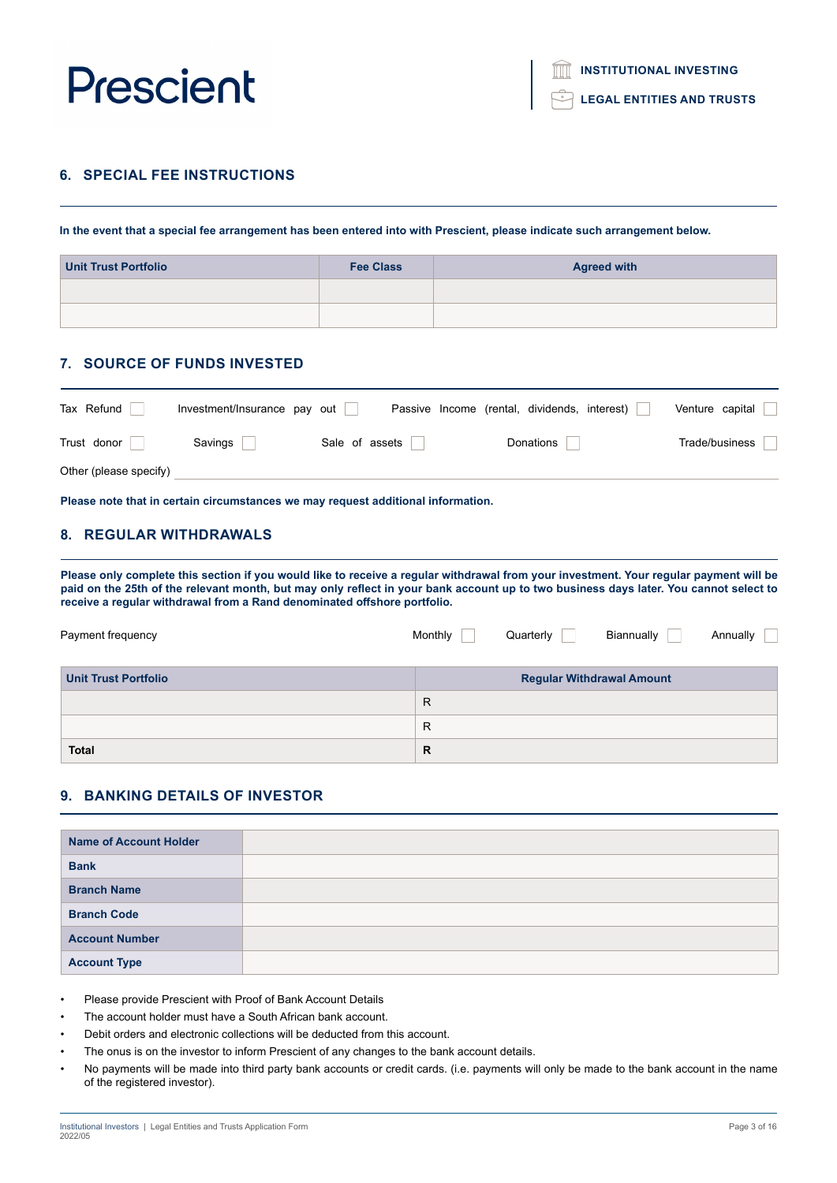

**LEGAL ENTITIES AND TRUSTS**

### **6. SPECIAL FEE INSTRUCTIONS**

**In the event that a special fee arrangement has been entered into with Prescient, please indicate such arrangement below.**

| Unit Trust Portfolio | <b>Fee Class</b> | <b>Agreed with</b> |
|----------------------|------------------|--------------------|
|                      |                  |                    |
|                      |                  |                    |

### **7. SOURCE OF FUNDS INVESTED**

| Tax Refund             | Investment/Insurance pay out |                | Passive Income (rental, dividends, interest) |           | Venture capital |
|------------------------|------------------------------|----------------|----------------------------------------------|-----------|-----------------|
| Trust donor            | Savings                      | Sale of assets |                                              | Donations | Trade/business  |
| Other (please specify) |                              |                |                                              |           |                 |

**Please note that in certain circumstances we may request additional information.**

# **8. REGULAR WITHDRAWALS**

**Please only complete this section if you would like to receive a regular withdrawal from your investment. Your regular payment will be paid on the 25th of the relevant month, but may only reflect in your bank account up to two business days later. You cannot select to receive a regular withdrawal from a Rand denominated offshore portfolio.**

| Payment frequency           | Monthly | Quarterly | Biannually                       | Annually |
|-----------------------------|---------|-----------|----------------------------------|----------|
| <b>Unit Trust Portfolio</b> |         |           | <b>Regular Withdrawal Amount</b> |          |
|                             | R       |           |                                  |          |
|                             | R       |           |                                  |          |
| <b>Total</b>                | R       |           |                                  |          |

# **9. BANKING DETAILS OF INVESTOR**

| <b>Name of Account Holder</b> |  |
|-------------------------------|--|
| <b>Bank</b>                   |  |
| <b>Branch Name</b>            |  |
| <b>Branch Code</b>            |  |
| <b>Account Number</b>         |  |
| <b>Account Type</b>           |  |

• Please provide Prescient with Proof of Bank Account Details

- The account holder must have a South African bank account.
- Debit orders and electronic collections will be deducted from this account.
- The onus is on the investor to inform Prescient of any changes to the bank account details.
- No payments will be made into third party bank accounts or credit cards. (i.e. payments will only be made to the bank account in the name of the registered investor).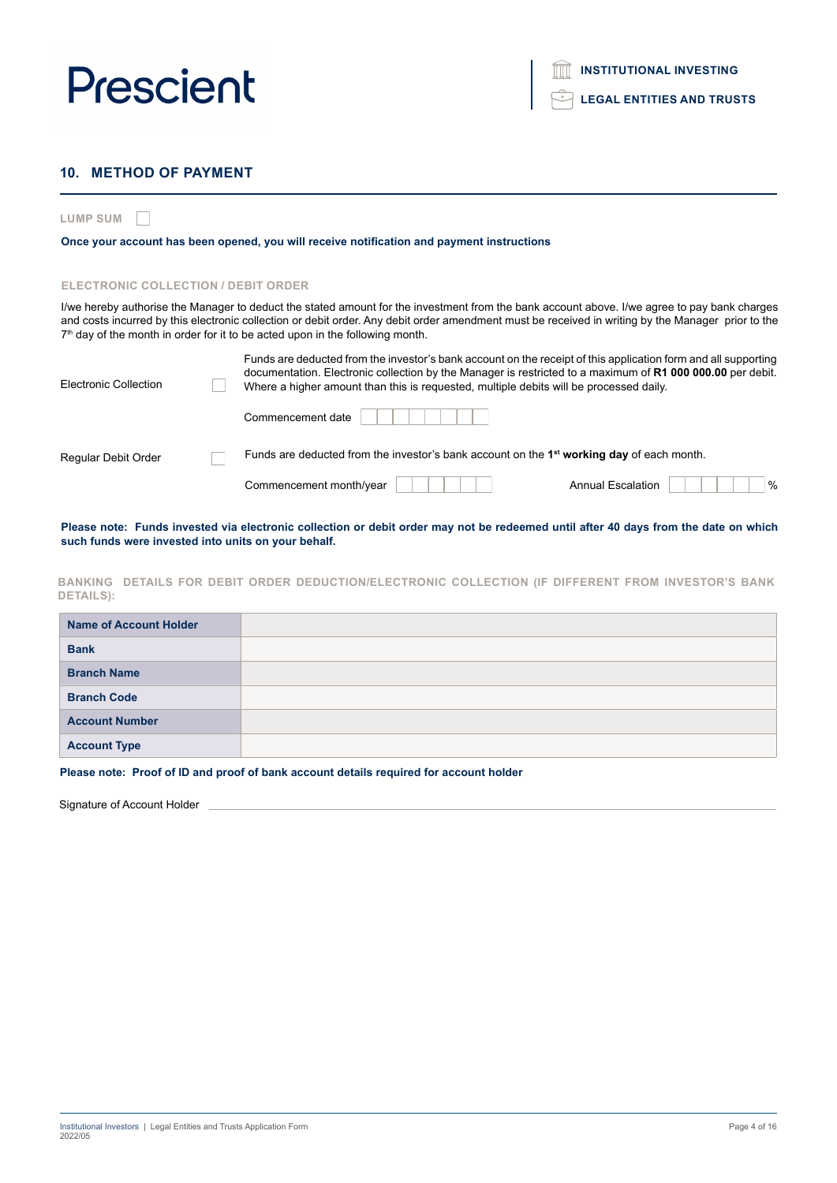# **LEGAL ENTITIES AND TRUSTS**

# **10. METHOD OF PAYMENT**

**LUMP SUM**

#### **Once your account has been opened, you will receive notification and payment instructions**

#### **ELECTRONIC COLLECTION / DEBIT ORDER**

I/we hereby authorise the Manager to deduct the stated amount for the investment from the bank account above. I/we agree to pay bank charges and costs incurred by this electronic collection or debit order. Any debit order amendment must be received in writing by the Manager prior to the  $7<sup>th</sup>$  day of the month in order for it to be acted upon in the following month.

| Electronic Collection | Funds are deducted from the investor's bank account on the receipt of this application form and all supporting<br>documentation. Electronic collection by the Manager is restricted to a maximum of R1 000 000.00 per debit.<br>Where a higher amount than this is requested, multiple debits will be processed daily. |
|-----------------------|------------------------------------------------------------------------------------------------------------------------------------------------------------------------------------------------------------------------------------------------------------------------------------------------------------------------|
|                       | Commencement date                                                                                                                                                                                                                                                                                                      |
| Regular Debit Order   | Funds are deducted from the investor's bank account on the 1 <sup>st</sup> working day of each month.                                                                                                                                                                                                                  |
|                       | $\%$<br><b>Annual Escalation</b><br>Commencement month/year                                                                                                                                                                                                                                                            |

**Please note: Funds invested via electronic collection or debit order may not be redeemed until after 40 days from the date on which such funds were invested into units on your behalf.**

**BANKING DETAILS FOR DEBIT ORDER DEDUCTION/ELECTRONIC COLLECTION (IF DIFFERENT FROM INVESTOR'S BANK DETAILS):**

| <b>Name of Account Holder</b> |  |
|-------------------------------|--|
| <b>Bank</b>                   |  |
| <b>Branch Name</b>            |  |
| <b>Branch Code</b>            |  |
| <b>Account Number</b>         |  |
| <b>Account Type</b>           |  |

#### **Please note: Proof of ID and proof of bank account details required for account holder**

Signature of Account Holder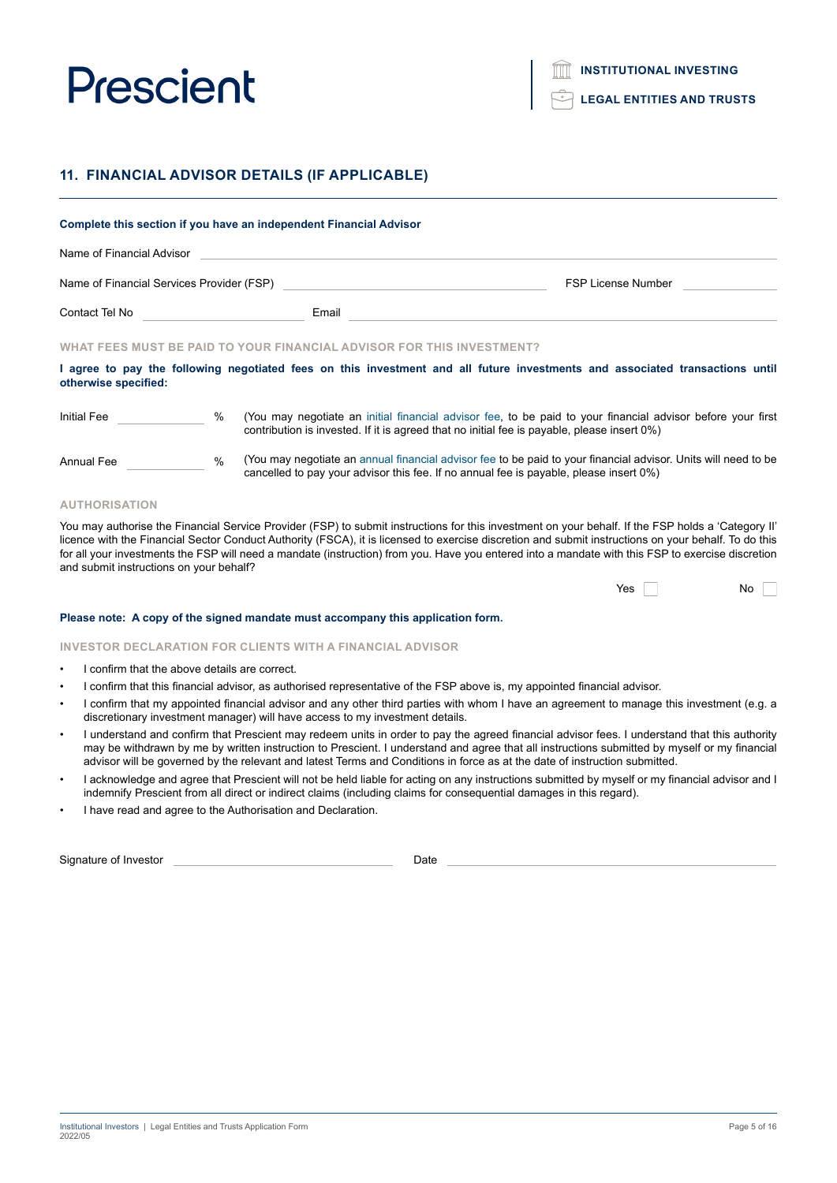**LEGAL ENTITIES AND TRUSTS**

# **11. FINANCIAL ADVISOR DETAILS (IF APPLICABLE)**

# **Complete this section if you have an independent Financial Advisor** Name of Financial Advisor Name of Financial Services Provider (FSP) FSP License Number Controller Services Provider (FSP) Contact Tel No **Email** (You may negotiate an initial financial advisor fee, to be paid to your financial advisor before your first contribution is invested. If it is agreed that no initial fee is payable, please insert 0%) (You may negotiate an annual financial advisor fee to be paid to your financial advisor. Units will need to be cancelled to pay your advisor this fee. If no annual fee is payable, please insert 0%) Initial Fee % Annual Fee % **WHAT FEES MUST BE PAID TO YOUR FINANCIAL ADVISOR FOR THIS INVESTMENT? I agree to pay the following negotiated fees on this investment and all future investments and associated transactions until otherwise specified:**

#### **AUTHORISATION**

You may authorise the Financial Service Provider (FSP) to submit instructions for this investment on your behalf. If the FSP holds a 'Category II' licence with the Financial Sector Conduct Authority (FSCA), it is licensed to exercise discretion and submit instructions on your behalf. To do this for all your investments the FSP will need a mandate (instruction) from you. Have you entered into a mandate with this FSP to exercise discretion and submit instructions on your behalf?

| <b>Yes</b> |  | Nο |
|------------|--|----|
|            |  |    |

#### **Please note: A copy of the signed mandate must accompany this application form.**

#### **INVESTOR DECLARATION FOR CLIENTS WITH A FINANCIAL ADVISOR**

- I confirm that the above details are correct.
- I confirm that this financial advisor, as authorised representative of the FSP above is, my appointed financial advisor.
- I confirm that my appointed financial advisor and any other third parties with whom I have an agreement to manage this investment (e.g. a discretionary investment manager) will have access to my investment details.
- I understand and confirm that Prescient may redeem units in order to pay the agreed financial advisor fees. I understand that this authority may be withdrawn by me by written instruction to Prescient. I understand and agree that all instructions submitted by myself or my financial advisor will be governed by the relevant and latest Terms and Conditions in force as at the date of instruction submitted.
- I acknowledge and agree that Prescient will not be held liable for acting on any instructions submitted by myself or my financial advisor and I indemnify Prescient from all direct or indirect claims (including claims for consequential damages in this regard).
- I have read and agree to the Authorisation and Declaration.

Signature of Investor **Date**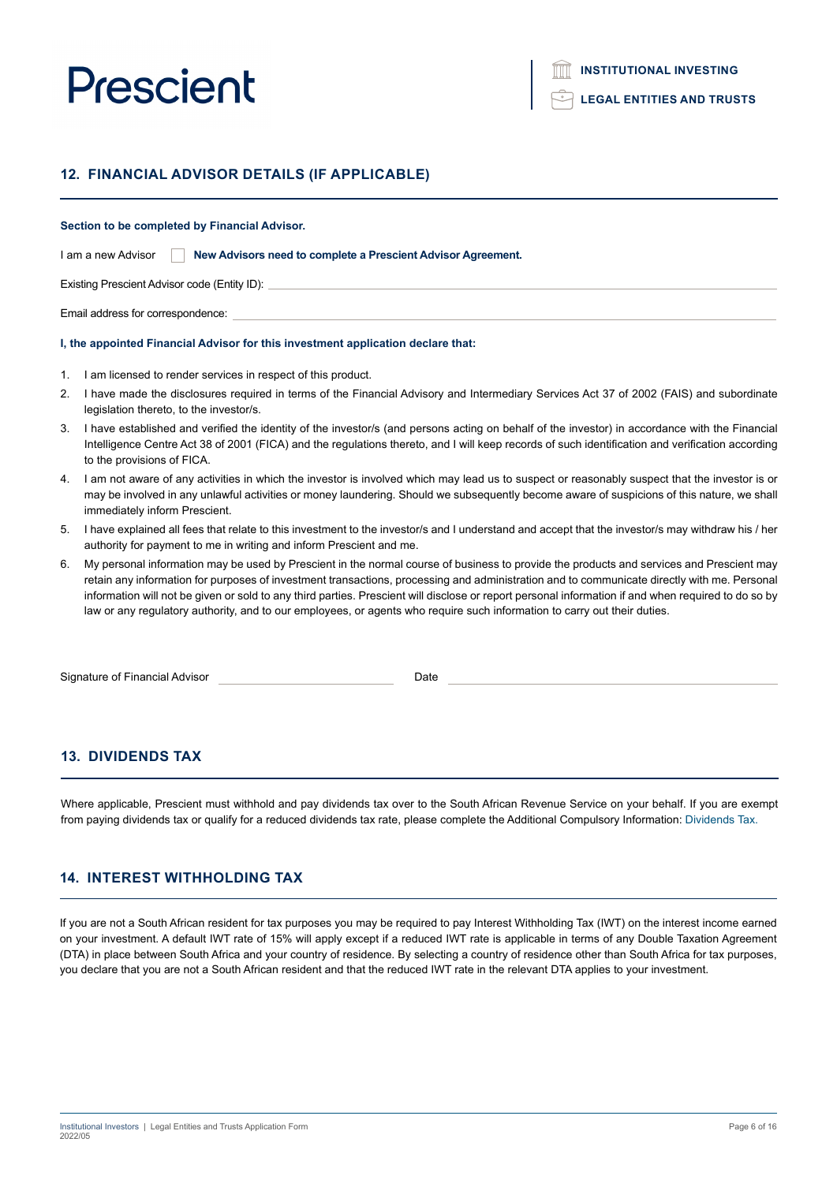### **12. FINANCIAL ADVISOR DETAILS (IF APPLICABLE)**

#### **Section to be completed by Financial Advisor.**

| I am a new Advisor |  | New Advisors need to complete a Prescient Advisor Agreement. |  |
|--------------------|--|--------------------------------------------------------------|--|
|--------------------|--|--------------------------------------------------------------|--|

Existing Prescient Advisor code (Entity ID):

Email address for correspondence:

#### **I, the appointed Financial Advisor for this investment application declare that:**

- 1. I am licensed to render services in respect of this product.
- 2. I have made the disclosures required in terms of the Financial Advisory and Intermediary Services Act 37 of 2002 (FAIS) and subordinate legislation thereto, to the investor/s.
- 3. I have established and verified the identity of the investor/s (and persons acting on behalf of the investor) in accordance with the Financial Intelligence Centre Act 38 of 2001 (FICA) and the regulations thereto, and I will keep records of such identification and verification according to the provisions of FICA.
- 4. I am not aware of any activities in which the investor is involved which may lead us to suspect or reasonably suspect that the investor is or may be involved in any unlawful activities or money laundering. Should we subsequently become aware of suspicions of this nature, we shall immediately inform Prescient.
- 5. I have explained all fees that relate to this investment to the investor/s and I understand and accept that the investor/s may withdraw his / her authority for payment to me in writing and inform Prescient and me.
- 6. My personal information may be used by Prescient in the normal course of business to provide the products and services and Prescient may retain any information for purposes of investment transactions, processing and administration and to communicate directly with me. Personal information will not be given or sold to any third parties. Prescient will disclose or report personal information if and when required to do so by law or any regulatory authority, and to our employees, or agents who require such information to carry out their duties.

Signature of Financial Advisor **Date** Date Date

### **13. DIVIDENDS TAX**

Where applicable, Prescient must withhold and pay dividends tax over to the South African Revenue Service on your behalf. If you are exempt from paying dividends tax or qualify for a reduced dividends tax rate, please complete the Additional Compulsory Information: Dividends Tax.

### **14. INTEREST WITHHOLDING TAX**

If you are not a South African resident for tax purposes you may be required to pay Interest Withholding Tax (IWT) on the interest income earned on your investment. A default IWT rate of 15% will apply except if a reduced IWT rate is applicable in terms of any Double Taxation Agreement (DTA) in place between South Africa and your country of residence. By selecting a country of residence other than South Africa for tax purposes, you declare that you are not a South African resident and that the reduced IWT rate in the relevant DTA applies to your investment.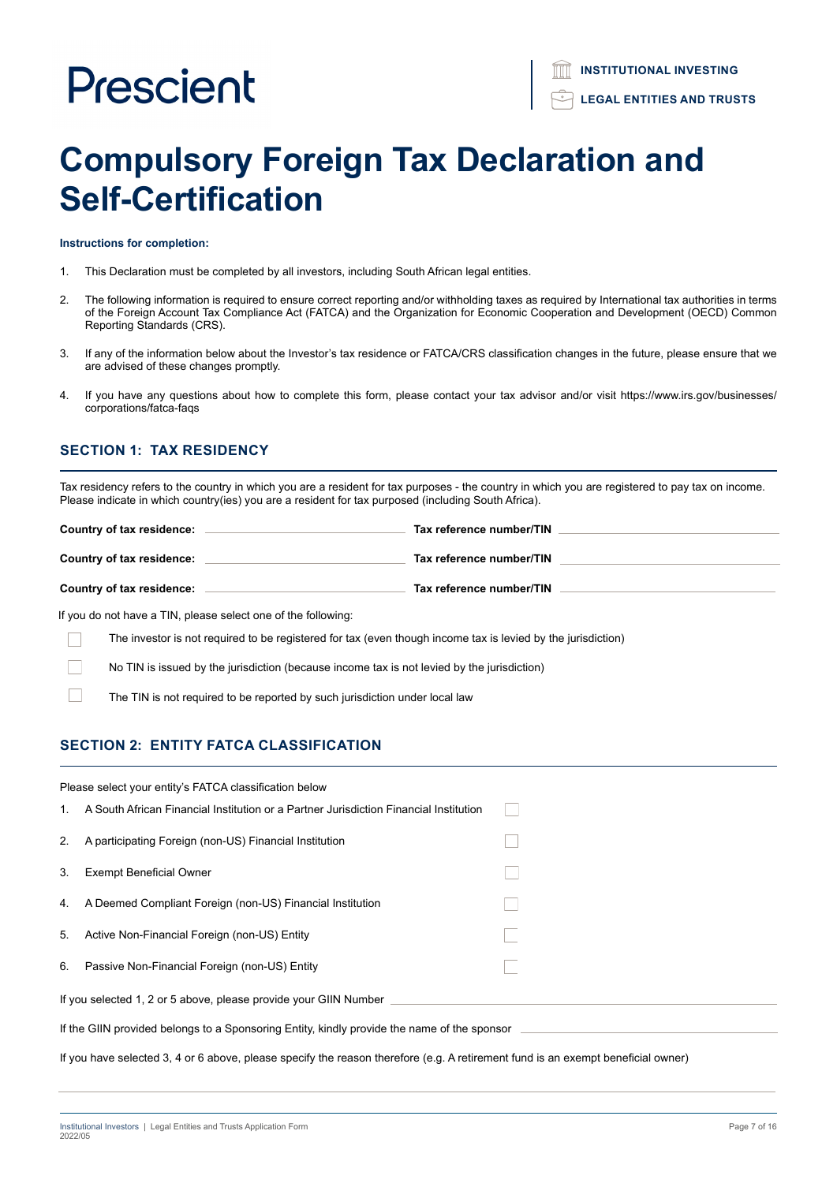# **Compulsory Foreign Tax Declaration and Self-Certification**

**Instructions for completion:**

- 1. This Declaration must be completed by all investors, including South African legal entities.
- 2. The following information is required to ensure correct reporting and/or withholding taxes as required by International tax authorities in terms of the Foreign Account Tax Compliance Act (FATCA) and the Organization for Economic Cooperation and Development (OECD) Common Reporting Standards (CRS).
- 3. If any of the information below about the Investor's tax residence or FATCA/CRS classification changes in the future, please ensure that we are advised of these changes promptly.
- 4. If you have any questions about how to complete this form, please contact your tax advisor and/or visit https://www.irs.gov/businesses/ corporations/fatca-faqs

# **SECTION 1: TAX RESIDENCY**

Tax residency refers to the country in which you are a resident for tax purposes - the country in which you are registered to pay tax on income. Please indicate in which country(ies) you are a resident for tax purposed (including South Africa).

| Country of tax residence:                                                         | Tax reference number/TIN |
|-----------------------------------------------------------------------------------|--------------------------|
| Country of tax residence:                                                         | Tax reference number/TIN |
| Country of tax residence:                                                         | Tax reference number/TIN |
| 16 concerta de la estado de TINT, a la estado de la estado de las fallecciones de |                          |

If you do not have a TIN, please select one of the following:

The investor is not required to be registered for tax (even though income tax is levied by the jurisdiction)

No TIN is issued by the jurisdiction (because income tax is not levied by the jurisdiction)

The TIN is not required to be reported by such jurisdiction under local law

# **SECTION 2: ENTITY FATCA CLASSIFICATION**

| Please select your entity's FATCA classification below                                                                           |                                                                                       |  |
|----------------------------------------------------------------------------------------------------------------------------------|---------------------------------------------------------------------------------------|--|
| $1_{\cdot}$                                                                                                                      | A South African Financial Institution or a Partner Jurisdiction Financial Institution |  |
| 2.                                                                                                                               | A participating Foreign (non-US) Financial Institution                                |  |
| 3.                                                                                                                               | <b>Exempt Beneficial Owner</b>                                                        |  |
| 4.                                                                                                                               | A Deemed Compliant Foreign (non-US) Financial Institution                             |  |
| 5.                                                                                                                               | Active Non-Financial Foreign (non-US) Entity                                          |  |
| 6.                                                                                                                               | Passive Non-Financial Foreign (non-US) Entity                                         |  |
| If you selected 1, 2 or 5 above, please provide your GIIN Number                                                                 |                                                                                       |  |
| If the GIIN provided belongs to a Sponsoring Entity, kindly provide the name of the sponsor                                      |                                                                                       |  |
| If you have selected 3, 4 or 6 above, please specify the reason therefore (e.g. A retirement fund is an exempt beneficial owner) |                                                                                       |  |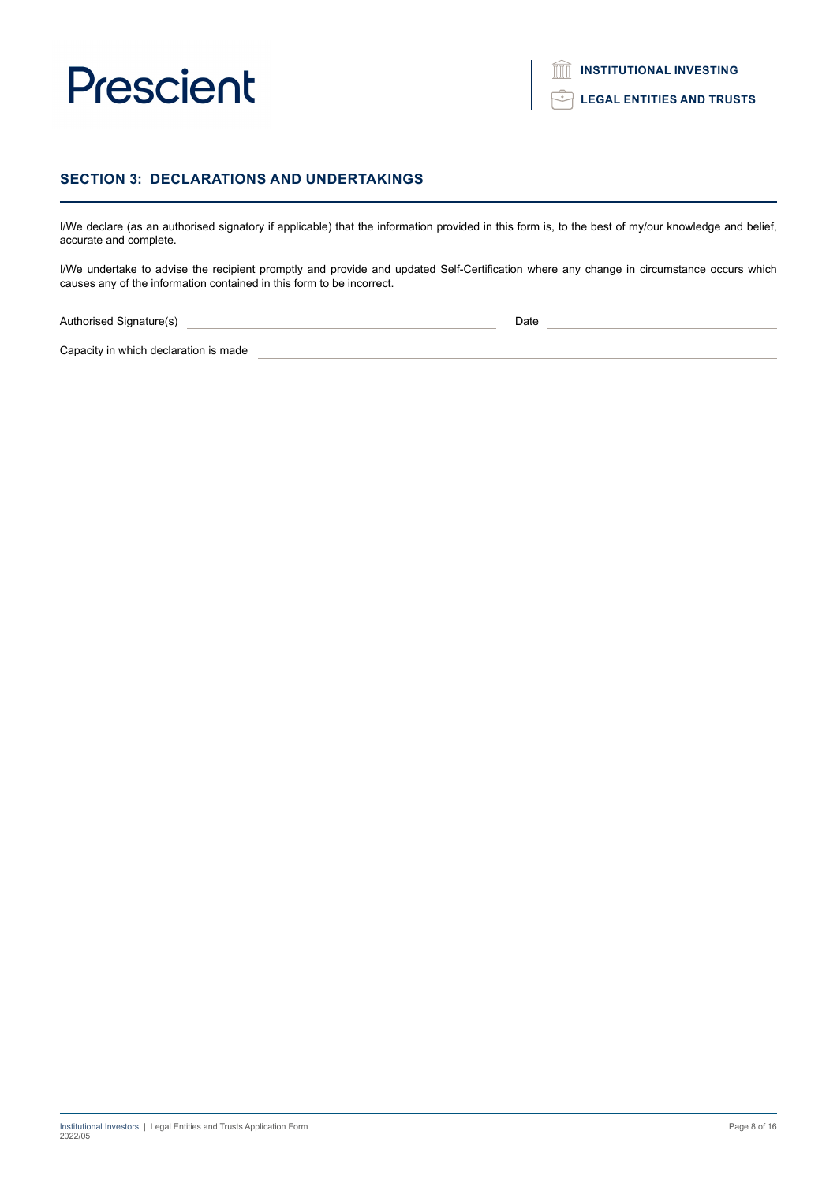

**LEGAL ENTITIES AND TRUSTS**

### **SECTION 3: DECLARATIONS AND UNDERTAKINGS**

I/We declare (as an authorised signatory if applicable) that the information provided in this form is, to the best of my/our knowledge and belief, accurate and complete.

I/We undertake to advise the recipient promptly and provide and updated Self-Certification where any change in circumstance occurs which causes any of the information contained in this form to be incorrect.

Authorised Signature(s) Date

Capacity in which declaration is made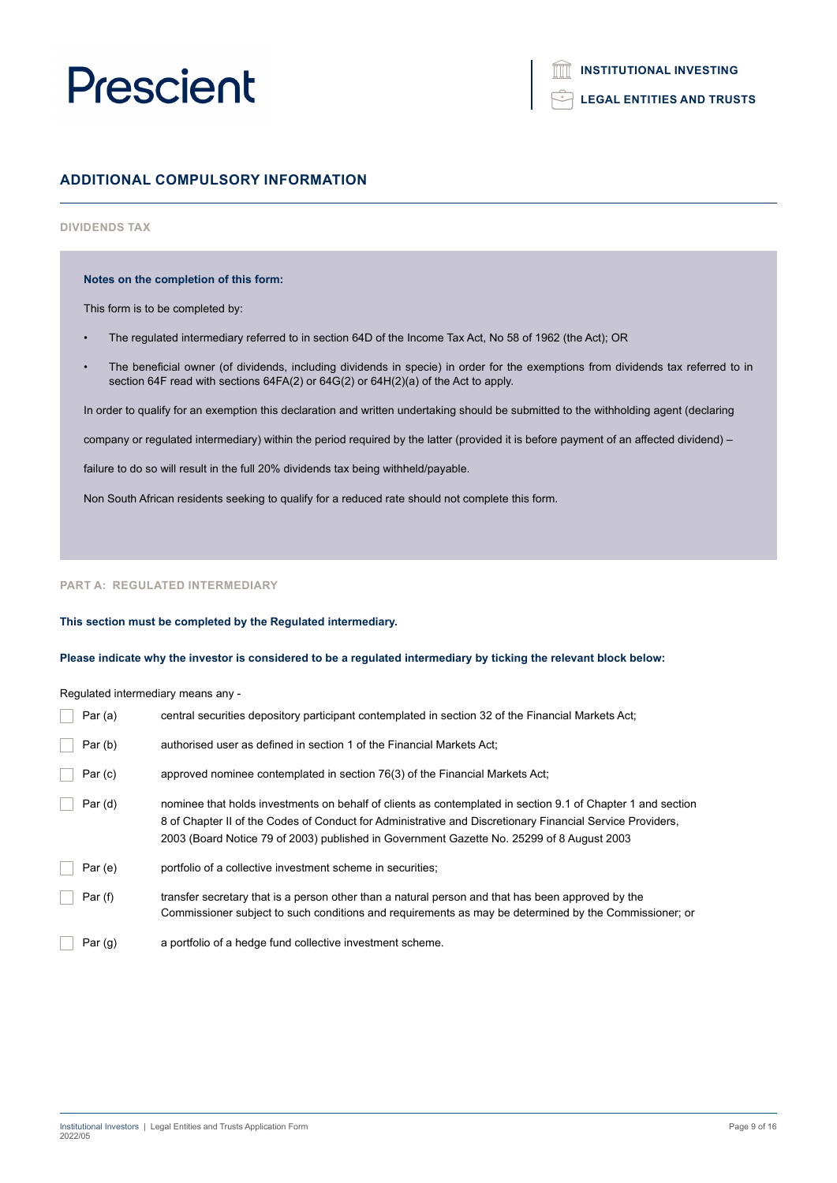### **LEGAL ENTITIES AND TRUSTS**

## **ADDITIONAL COMPULSORY INFORMATION**

### **DIVIDENDS TAX**

#### **Notes on the completion of this form:**

This form is to be completed by:

- The regulated intermediary referred to in section 64D of the Income Tax Act, No 58 of 1962 (the Act); OR
- The beneficial owner (of dividends, including dividends in specie) in order for the exemptions from dividends tax referred to in section 64F read with sections 64FA(2) or 64G(2) or 64H(2)(a) of the Act to apply.

In order to qualify for an exemption this declaration and written undertaking should be submitted to the withholding agent (declaring

company or regulated intermediary) within the period required by the latter (provided it is before payment of an affected dividend) –

failure to do so will result in the full 20% dividends tax being withheld/payable.

Non South African residents seeking to qualify for a reduced rate should not complete this form.

#### **PART A: REGULATED INTERMEDIARY**

#### **This section must be completed by the Regulated intermediary.**

**Please indicate why the investor is considered to be a regulated intermediary by ticking the relevant block below:**

Regulated intermediary means any -

| Par $(a)$ | central securities depository participant contemplated in section 32 of the Financial Markets Act;                                                                                                                                                                                                                    |
|-----------|-----------------------------------------------------------------------------------------------------------------------------------------------------------------------------------------------------------------------------------------------------------------------------------------------------------------------|
| Par(b)    | authorised user as defined in section 1 of the Financial Markets Act;                                                                                                                                                                                                                                                 |
| Par(c)    | approved nominee contemplated in section 76(3) of the Financial Markets Act;                                                                                                                                                                                                                                          |
| Par(d)    | nominee that holds investments on behalf of clients as contemplated in section 9.1 of Chapter 1 and section<br>8 of Chapter II of the Codes of Conduct for Administrative and Discretionary Financial Service Providers,<br>2003 (Board Notice 79 of 2003) published in Government Gazette No. 25299 of 8 August 2003 |
| Par(e)    | portfolio of a collective investment scheme in securities;                                                                                                                                                                                                                                                            |
| Par(f)    | transfer secretary that is a person other than a natural person and that has been approved by the<br>Commissioner subject to such conditions and requirements as may be determined by the Commissioner; or                                                                                                            |
| Par $(g)$ | a portfolio of a hedge fund collective investment scheme.                                                                                                                                                                                                                                                             |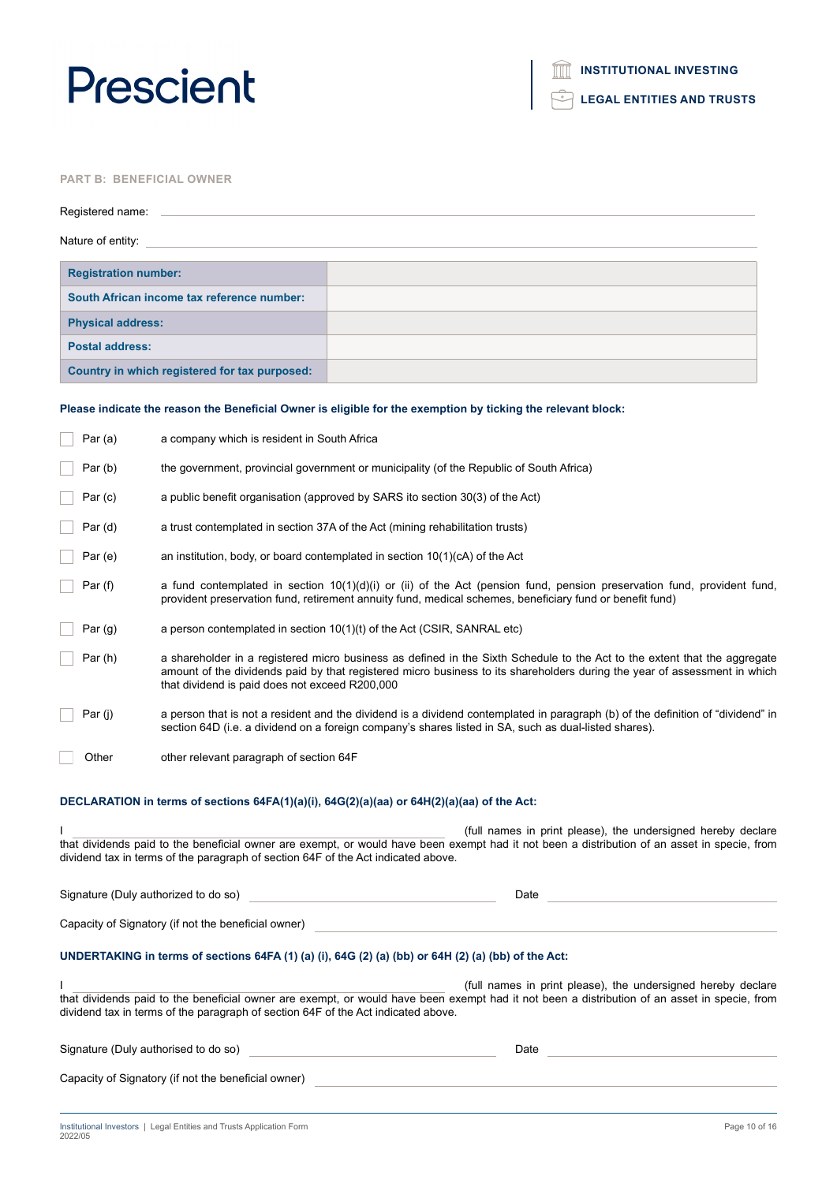**LEGAL ENTITIES AND TRUSTS**

### **PART B: BENEFICIAL OWNER**

| Registered name:                              |  |  |
|-----------------------------------------------|--|--|
| Nature of entity:                             |  |  |
|                                               |  |  |
| <b>Registration number:</b>                   |  |  |
| South African income tax reference number:    |  |  |
| <b>Physical address:</b>                      |  |  |
| <b>Postal address:</b>                        |  |  |
| Country in which registered for tax purposed: |  |  |

### **Please indicate the reason the Beneficial Owner is eligible for the exemption by ticking the relevant block:**

| Par (a) | a company which is resident in South Africa                                                         |                                                                                                                                                                                                                                                        |
|---------|-----------------------------------------------------------------------------------------------------|--------------------------------------------------------------------------------------------------------------------------------------------------------------------------------------------------------------------------------------------------------|
| Par(b)  | the government, provincial government or municipality (of the Republic of South Africa)             |                                                                                                                                                                                                                                                        |
| Par(c)  | a public benefit organisation (approved by SARS ito section 30(3) of the Act)                       |                                                                                                                                                                                                                                                        |
| Par (d) | a trust contemplated in section 37A of the Act (mining rehabilitation trusts)                       |                                                                                                                                                                                                                                                        |
| Par (e) | an institution, body, or board contemplated in section $10(1)(c)$ of the Act                        |                                                                                                                                                                                                                                                        |
| Par (f) |                                                                                                     | a fund contemplated in section 10(1)(d)(i) or (ii) of the Act (pension fund, pension preservation fund, provident fund,<br>provident preservation fund, retirement annuity fund, medical schemes, beneficiary fund or benefit fund)                    |
| Par(g)  | a person contemplated in section $10(1)(t)$ of the Act (CSIR, SANRAL etc)                           |                                                                                                                                                                                                                                                        |
| Par (h) | that dividend is paid does not exceed R200,000                                                      | a shareholder in a registered micro business as defined in the Sixth Schedule to the Act to the extent that the aggregate<br>amount of the dividends paid by that registered micro business to its shareholders during the year of assessment in which |
| Par (j) |                                                                                                     | a person that is not a resident and the dividend is a dividend contemplated in paragraph (b) of the definition of "dividend" in<br>section 64D (i.e. a dividend on a foreign company's shares listed in SA, such as dual-listed shares).               |
| Other   | other relevant paragraph of section 64F                                                             |                                                                                                                                                                                                                                                        |
|         | DECLARATION in terms of sections 64FA(1)(a)(i), 64G(2)(a)(aa) or 64H(2)(a)(aa) of the Act:          |                                                                                                                                                                                                                                                        |
|         |                                                                                                     | (full names in print please), the undersigned hereby declare                                                                                                                                                                                           |
|         | dividend tax in terms of the paragraph of section 64F of the Act indicated above.                   | that dividends paid to the beneficial owner are exempt, or would have been exempt had it not been a distribution of an asset in specie, from                                                                                                           |
|         | Signature (Duly authorized to do so)                                                                | Date                                                                                                                                                                                                                                                   |
|         | Capacity of Signatory (if not the beneficial owner)                                                 |                                                                                                                                                                                                                                                        |
|         | UNDERTAKING in terms of sections 64FA (1) (a) (i), 64G (2) (a) (bb) or 64H (2) (a) (bb) of the Act: |                                                                                                                                                                                                                                                        |
|         | dividend tax in terms of the paragraph of section 64F of the Act indicated above.                   | (full names in print please), the undersigned hereby declare<br>that dividends paid to the beneficial owner are exempt, or would have been exempt had it not been a distribution of an asset in specie, from                                           |
|         | Signature (Duly authorised to do so)                                                                | Date                                                                                                                                                                                                                                                   |
|         | Capacity of Signatory (if not the beneficial owner)                                                 |                                                                                                                                                                                                                                                        |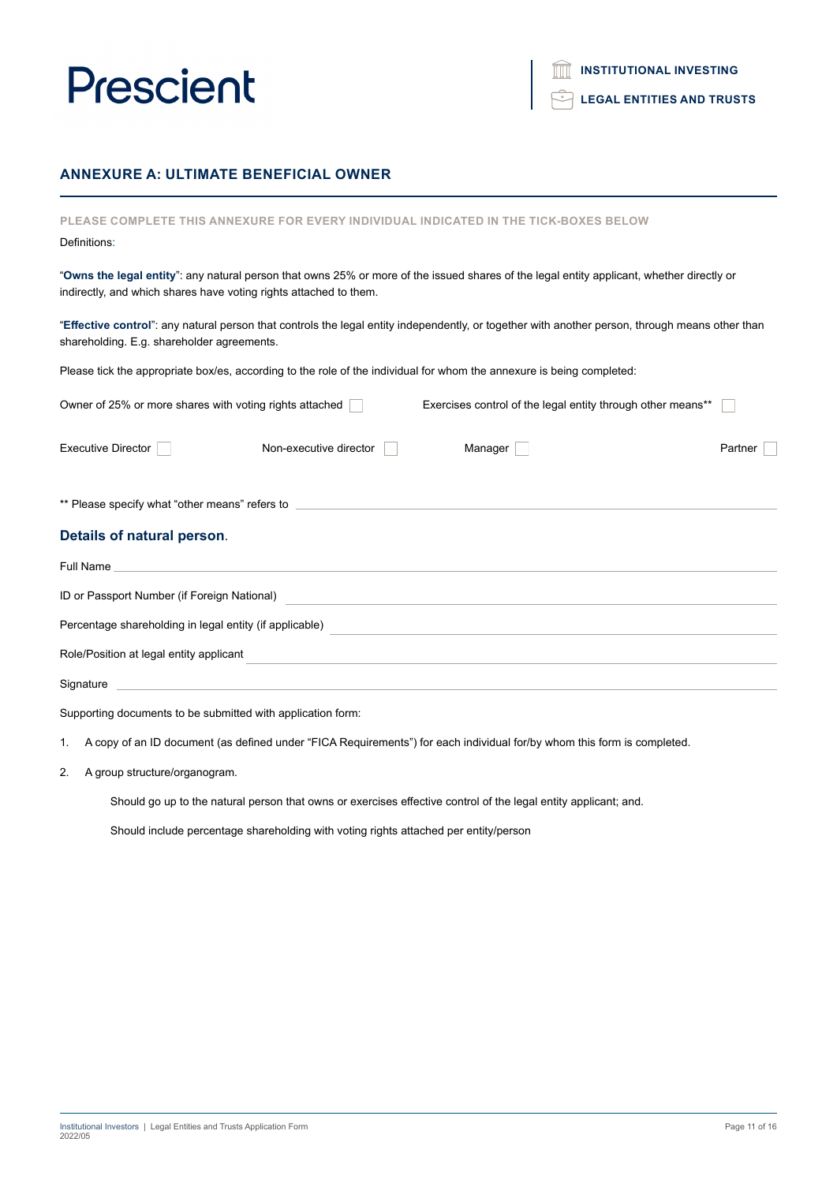## **ANNEXURE A: ULTIMATE BENEFICIAL OWNER**

| PLEASE COMPLETE THIS ANNEXURE FOR EVERY INDIVIDUAL INDICATED IN THE TICK-BOXES BELOW                                                                                                                           |         |  |
|----------------------------------------------------------------------------------------------------------------------------------------------------------------------------------------------------------------|---------|--|
| Definitions:                                                                                                                                                                                                   |         |  |
| "Owns the legal entity": any natural person that owns 25% or more of the issued shares of the legal entity applicant, whether directly or<br>indirectly, and which shares have voting rights attached to them. |         |  |
| "Effective control": any natural person that controls the legal entity independently, or together with another person, through means other than<br>shareholding. E.g. shareholder agreements.                  |         |  |
| Please tick the appropriate box/es, according to the role of the individual for whom the annexure is being completed:                                                                                          |         |  |
| Exercises control of the legal entity through other means**<br>Owner of 25% or more shares with voting rights attached                                                                                         |         |  |
| <b>Executive Director</b><br>Non-executive director<br>Manager                                                                                                                                                 | Partner |  |
| ** Please specify what "other means" refers to _________________________________                                                                                                                               |         |  |
| Details of natural person.                                                                                                                                                                                     |         |  |
| Full Name                                                                                                                                                                                                      |         |  |
| ID or Passport Number (if Foreign National)                                                                                                                                                                    |         |  |
| Percentage shareholding in legal entity (if applicable)                                                                                                                                                        |         |  |
| Role/Position at legal entity applicant                                                                                                                                                                        |         |  |
| Signature                                                                                                                                                                                                      |         |  |

Supporting documents to be submitted with application form:

1. A copy of an ID document (as defined under "FICA Requirements") for each individual for/by whom this form is completed.

2. A group structure/organogram.

Should go up to the natural person that owns or exercises effective control of the legal entity applicant; and.

Should include percentage shareholding with voting rights attached per entity/person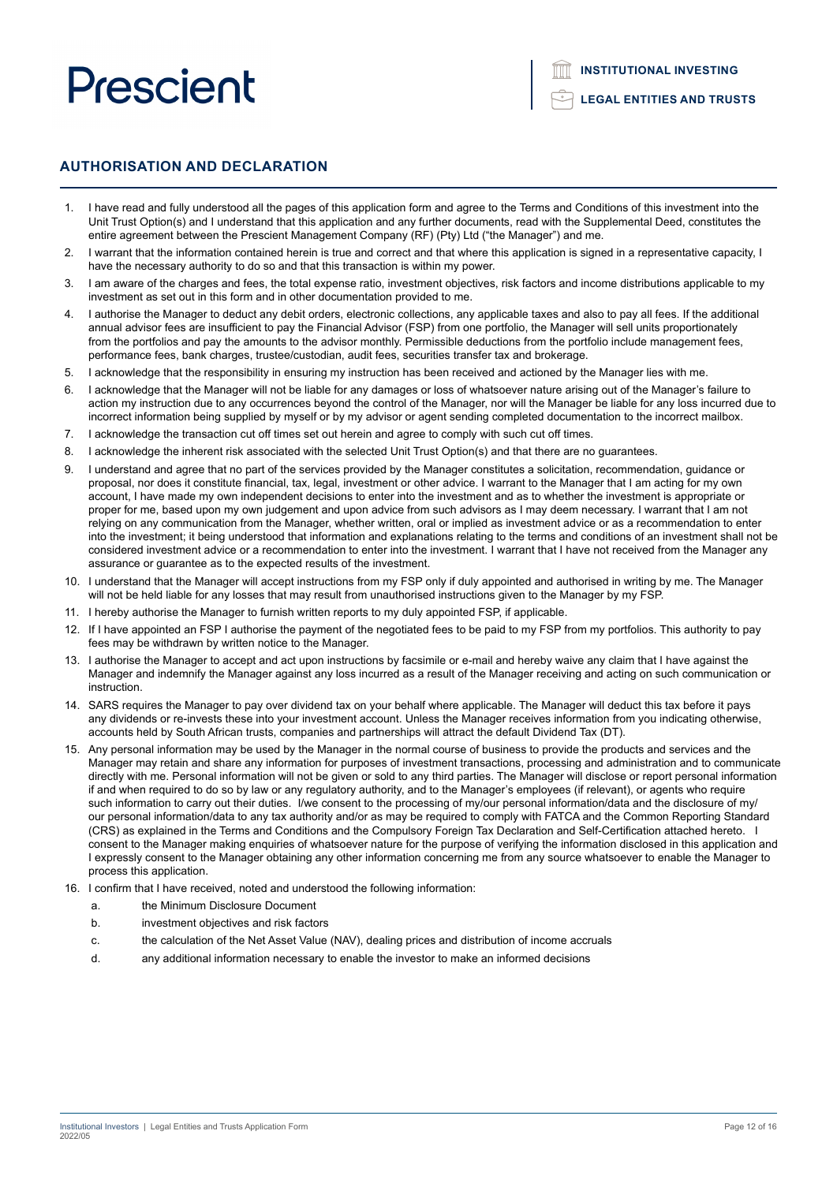**LEGAL ENTITIES AND TRUSTS**

# **AUTHORISATION AND DECLARATION**

- 1. I have read and fully understood all the pages of this application form and agree to the Terms and Conditions of this investment into the Unit Trust Option(s) and I understand that this application and any further documents, read with the Supplemental Deed, constitutes the entire agreement between the Prescient Management Company (RF) (Pty) Ltd ("the Manager") and me.
- 2. I warrant that the information contained herein is true and correct and that where this application is signed in a representative capacity, I have the necessary authority to do so and that this transaction is within my power.
- 3. I am aware of the charges and fees, the total expense ratio, investment objectives, risk factors and income distributions applicable to my investment as set out in this form and in other documentation provided to me.
- 4. I authorise the Manager to deduct any debit orders, electronic collections, any applicable taxes and also to pay all fees. If the additional annual advisor fees are insufficient to pay the Financial Advisor (FSP) from one portfolio, the Manager will sell units proportionately from the portfolios and pay the amounts to the advisor monthly. Permissible deductions from the portfolio include management fees, performance fees, bank charges, trustee/custodian, audit fees, securities transfer tax and brokerage.
- 5. I acknowledge that the responsibility in ensuring my instruction has been received and actioned by the Manager lies with me.
- 6. I acknowledge that the Manager will not be liable for any damages or loss of whatsoever nature arising out of the Manager's failure to action my instruction due to any occurrences beyond the control of the Manager, nor will the Manager be liable for any loss incurred due to incorrect information being supplied by myself or by my advisor or agent sending completed documentation to the incorrect mailbox.
- 7. I acknowledge the transaction cut off times set out herein and agree to comply with such cut off times.
- 8. I acknowledge the inherent risk associated with the selected Unit Trust Option(s) and that there are no guarantees.
- 9. I understand and agree that no part of the services provided by the Manager constitutes a solicitation, recommendation, guidance or proposal, nor does it constitute financial, tax, legal, investment or other advice. I warrant to the Manager that I am acting for my own account, I have made my own independent decisions to enter into the investment and as to whether the investment is appropriate or proper for me, based upon my own judgement and upon advice from such advisors as I may deem necessary. I warrant that I am not relying on any communication from the Manager, whether written, oral or implied as investment advice or as a recommendation to enter into the investment; it being understood that information and explanations relating to the terms and conditions of an investment shall not be considered investment advice or a recommendation to enter into the investment. I warrant that I have not received from the Manager any assurance or guarantee as to the expected results of the investment.
- 10. I understand that the Manager will accept instructions from my FSP only if duly appointed and authorised in writing by me. The Manager will not be held liable for any losses that may result from unauthorised instructions given to the Manager by my FSP.
- 11. I hereby authorise the Manager to furnish written reports to my duly appointed FSP, if applicable.
- 12. If I have appointed an FSP I authorise the payment of the negotiated fees to be paid to my FSP from my portfolios. This authority to pay fees may be withdrawn by written notice to the Manager.
- 13. I authorise the Manager to accept and act upon instructions by facsimile or e-mail and hereby waive any claim that I have against the Manager and indemnify the Manager against any loss incurred as a result of the Manager receiving and acting on such communication or instruction.
- 14. SARS requires the Manager to pay over dividend tax on your behalf where applicable. The Manager will deduct this tax before it pays any dividends or re-invests these into your investment account. Unless the Manager receives information from you indicating otherwise, accounts held by South African trusts, companies and partnerships will attract the default Dividend Tax (DT).
- 15. Any personal information may be used by the Manager in the normal course of business to provide the products and services and the Manager may retain and share any information for purposes of investment transactions, processing and administration and to communicate directly with me. Personal information will not be given or sold to any third parties. The Manager will disclose or report personal information if and when required to do so by law or any regulatory authority, and to the Manager's employees (if relevant), or agents who require such information to carry out their duties. I/we consent to the processing of my/our personal information/data and the disclosure of my/ our personal information/data to any tax authority and/or as may be required to comply with FATCA and the Common Reporting Standard (CRS) as explained in the Terms and Conditions and the Compulsory Foreign Tax Declaration and Self-Certification attached hereto. I consent to the Manager making enquiries of whatsoever nature for the purpose of verifying the information disclosed in this application and I expressly consent to the Manager obtaining any other information concerning me from any source whatsoever to enable the Manager to process this application.
- 16. I confirm that I have received, noted and understood the following information:
	- a. the Minimum Disclosure Document
	- b. investment objectives and risk factors
	- c. the calculation of the Net Asset Value (NAV), dealing prices and distribution of income accruals
	- d. any additional information necessary to enable the investor to make an informed decisions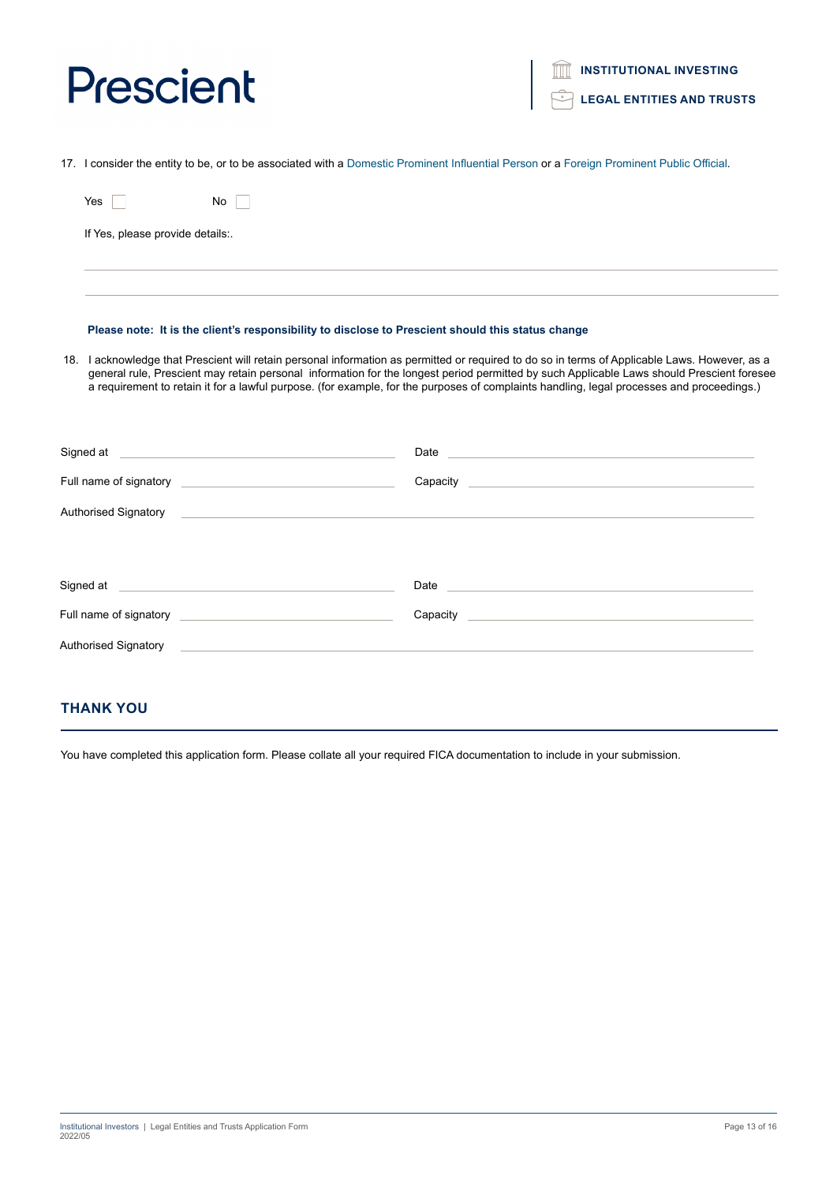17. I consider the entity to be, or to be associated with a Domestic Prominent Influential Person or a Foreign Prominent Public Official.

| Yes                         | No.                                                                                                                                                                                                                                  |                                                                                                                                                                                                                                                                                                                                                                                                                                          |
|-----------------------------|--------------------------------------------------------------------------------------------------------------------------------------------------------------------------------------------------------------------------------------|------------------------------------------------------------------------------------------------------------------------------------------------------------------------------------------------------------------------------------------------------------------------------------------------------------------------------------------------------------------------------------------------------------------------------------------|
|                             | If Yes, please provide details:.                                                                                                                                                                                                     |                                                                                                                                                                                                                                                                                                                                                                                                                                          |
|                             |                                                                                                                                                                                                                                      |                                                                                                                                                                                                                                                                                                                                                                                                                                          |
|                             | Please note: It is the client's responsibility to disclose to Prescient should this status change                                                                                                                                    |                                                                                                                                                                                                                                                                                                                                                                                                                                          |
|                             |                                                                                                                                                                                                                                      | 18. I acknowledge that Prescient will retain personal information as permitted or required to do so in terms of Applicable Laws. However, as a<br>general rule, Prescient may retain personal information for the longest period permitted by such Applicable Laws should Prescient foresee<br>a requirement to retain it for a lawful purpose. (for example, for the purposes of complaints handling, legal processes and proceedings.) |
|                             | Signed at <u>example and a series of the series of the series of the series of the series of the series of the series of the series of the series of the series of the series of the series of the series of the series of the s</u> | Date and the state of the state of the state of the state of the state of the state of the state of the state of the state of the state of the state of the state of the state of the state of the state of the state of the s                                                                                                                                                                                                           |
|                             |                                                                                                                                                                                                                                      |                                                                                                                                                                                                                                                                                                                                                                                                                                          |
|                             |                                                                                                                                                                                                                                      | Authorised Signatory <b>Authorise Signatory</b> and the control of the control of the control of the control of the control of the control of the control of the control of the control of the control of the control of the contro                                                                                                                                                                                                      |
|                             | Signed at <u>entitled and a series of the series of the series of the series of the series of the series of the series of the series of the series of the series of the series of the series of the series of the series of the </u> | Date experience and the second contract of the second contract of the second contract of the second contract of the second contract of the second contract of the second contract of the second contract of the second contrac                                                                                                                                                                                                           |
|                             |                                                                                                                                                                                                                                      | Capacity Capacity Capacity                                                                                                                                                                                                                                                                                                                                                                                                               |
| <b>Authorised Signatory</b> |                                                                                                                                                                                                                                      |                                                                                                                                                                                                                                                                                                                                                                                                                                          |

# **THANK YOU**

You have completed this application form. Please collate all your required FICA documentation to include in your submission.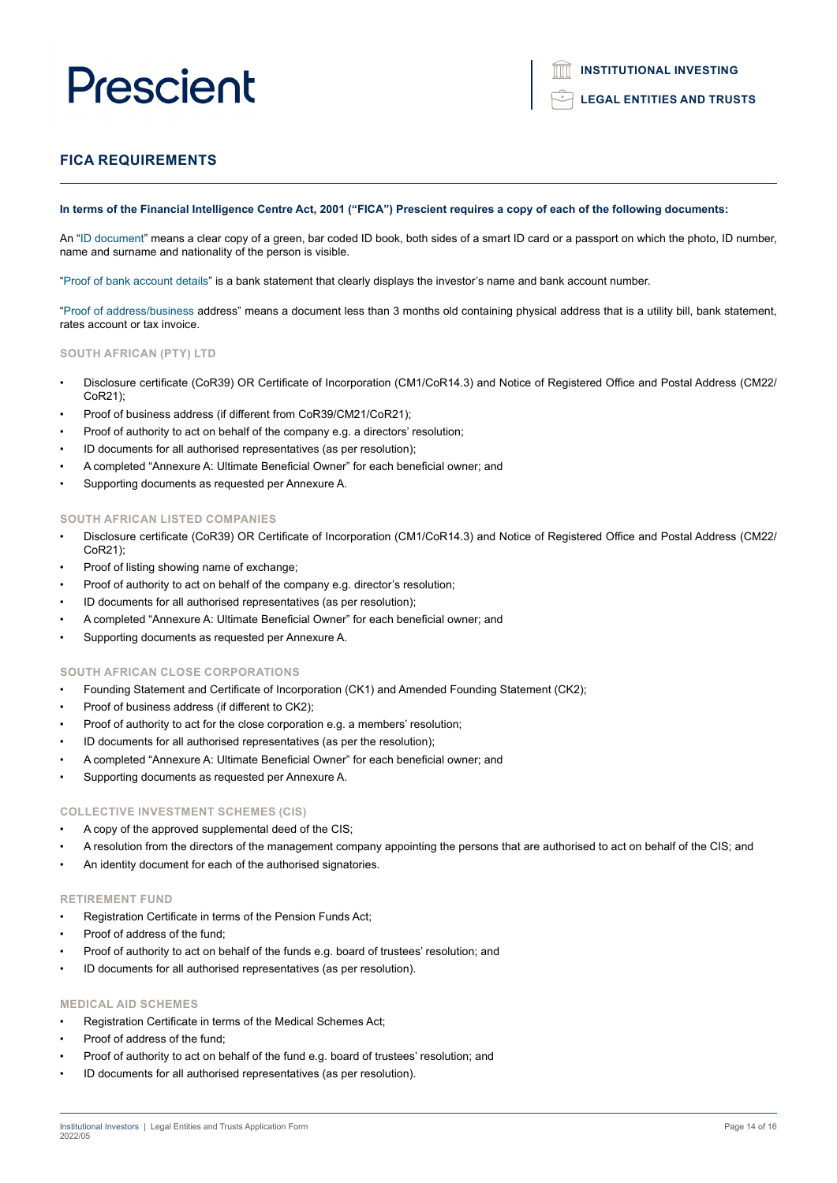### **LEGAL ENTITIES AND TRUSTS**

### **FICA REQUIREMENTS**

#### **In terms of the Financial Intelligence Centre Act, 2001 ("FICA") Prescient requires a copy of each of the following documents:**

An "ID document" means a clear copy of a green, bar coded ID book, both sides of a smart ID card or a passport on which the photo, ID number, name and surname and nationality of the person is visible.

"Proof of bank account details" is a bank statement that clearly displays the investor's name and bank account number.

"Proof of address/business address" means a document less than 3 months old containing physical address that is a utility bill, bank statement, rates account or tax invoice.

#### **SOUTH AFRICAN (PTY) LTD**

- Disclosure certificate (CoR39) OR Certificate of Incorporation (CM1/CoR14.3) and Notice of Registered Office and Postal Address (CM22/ CoR21);
- Proof of business address (if different from CoR39/CM21/CoR21);
- Proof of authority to act on behalf of the company e.g. a directors' resolution;
- ID documents for all authorised representatives (as per resolution);
- A completed "Annexure A: Ultimate Beneficial Owner" for each beneficial owner; and
- Supporting documents as requested per Annexure A.

### **SOUTH AFRICAN LISTED COMPANIES**

- Disclosure certificate (CoR39) OR Certificate of Incorporation (CM1/CoR14.3) and Notice of Registered Office and Postal Address (CM22/ CoR21);
- Proof of listing showing name of exchange;
- Proof of authority to act on behalf of the company e.g. director's resolution;
- ID documents for all authorised representatives (as per resolution);
- A completed "Annexure A: Ultimate Beneficial Owner" for each beneficial owner; and
- Supporting documents as requested per Annexure A.

#### **SOUTH AFRICAN CLOSE CORPORATIONS**

- Founding Statement and Certificate of Incorporation (CK1) and Amended Founding Statement (CK2);
- Proof of business address (if different to CK2);
- Proof of authority to act for the close corporation e.g. a members' resolution;
- ID documents for all authorised representatives (as per the resolution);
- A completed "Annexure A: Ultimate Beneficial Owner" for each beneficial owner; and
- Supporting documents as requested per Annexure A.

#### **COLLECTIVE INVESTMENT SCHEMES (CIS)**

- A copy of the approved supplemental deed of the CIS;
- A resolution from the directors of the management company appointing the persons that are authorised to act on behalf of the CIS; and
- An identity document for each of the authorised signatories.

#### **RETIREMENT FUND**

- Registration Certificate in terms of the Pension Funds Act;
- Proof of address of the fund:
- Proof of authority to act on behalf of the funds e.g. board of trustees' resolution; and
- ID documents for all authorised representatives (as per resolution).

#### **MEDICAL AID SCHEMES**

- Registration Certificate in terms of the Medical Schemes Act;
- Proof of address of the fund;
- Proof of authority to act on behalf of the fund e.g. board of trustees' resolution; and
- ID documents for all authorised representatives (as per resolution).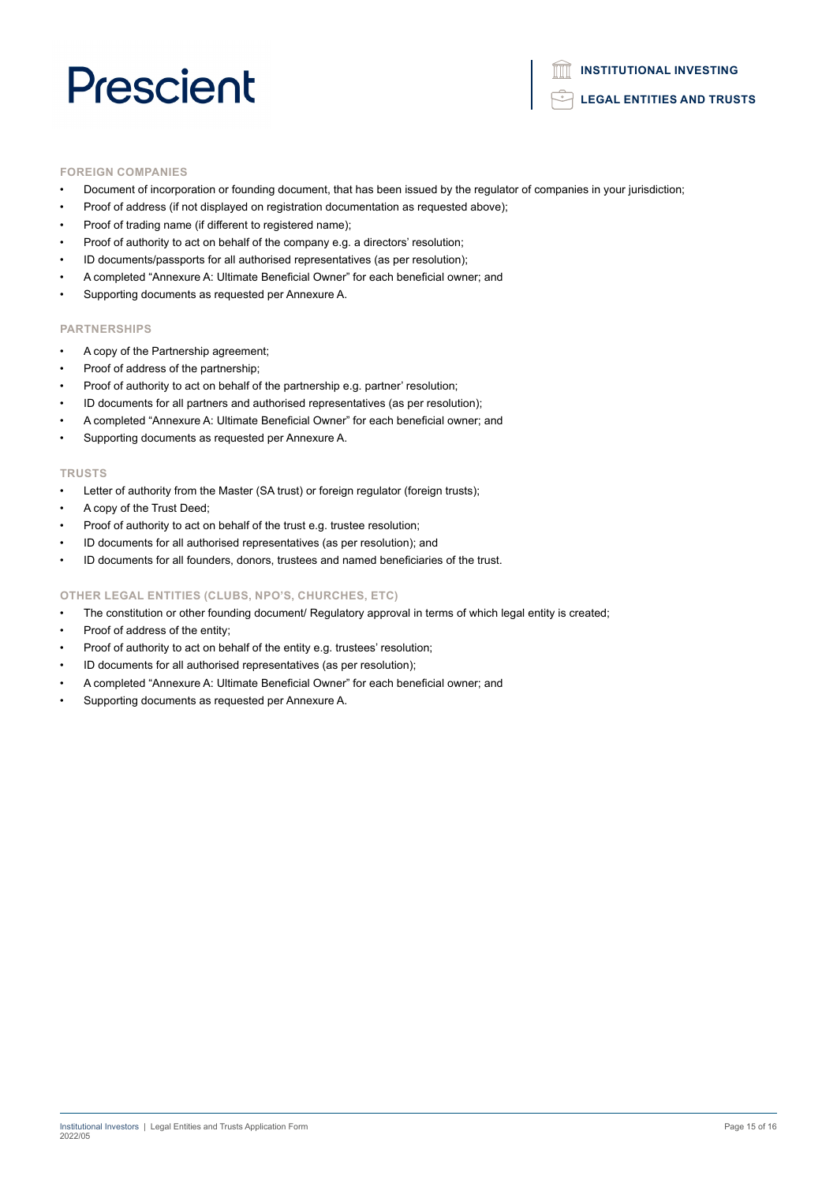#### **FOREIGN COMPANIES**

- Document of incorporation or founding document, that has been issued by the regulator of companies in your jurisdiction;
- Proof of address (if not displayed on registration documentation as requested above);
- Proof of trading name (if different to registered name);
- Proof of authority to act on behalf of the company e.g. a directors' resolution;
- ID documents/passports for all authorised representatives (as per resolution);
- A completed "Annexure A: Ultimate Beneficial Owner" for each beneficial owner; and
- Supporting documents as requested per Annexure A.

#### **PARTNERSHIPS**

- A copy of the Partnership agreement;
- Proof of address of the partnership;
- Proof of authority to act on behalf of the partnership e.g. partner' resolution;
- ID documents for all partners and authorised representatives (as per resolution);
- A completed "Annexure A: Ultimate Beneficial Owner" for each beneficial owner; and
- Supporting documents as requested per Annexure A.

#### **TRUSTS**

- Letter of authority from the Master (SA trust) or foreign regulator (foreign trusts);
- A copy of the Trust Deed;
- Proof of authority to act on behalf of the trust e.g. trustee resolution;
- ID documents for all authorised representatives (as per resolution); and
- ID documents for all founders, donors, trustees and named beneficiaries of the trust.

#### **OTHER LEGAL ENTITIES (CLUBS, NPO'S, CHURCHES, ETC)**

- The constitution or other founding document/ Regulatory approval in terms of which legal entity is created;
- Proof of address of the entity;
- Proof of authority to act on behalf of the entity e.g. trustees' resolution;
- ID documents for all authorised representatives (as per resolution);
- A completed "Annexure A: Ultimate Beneficial Owner" for each beneficial owner; and
- Supporting documents as requested per Annexure A.